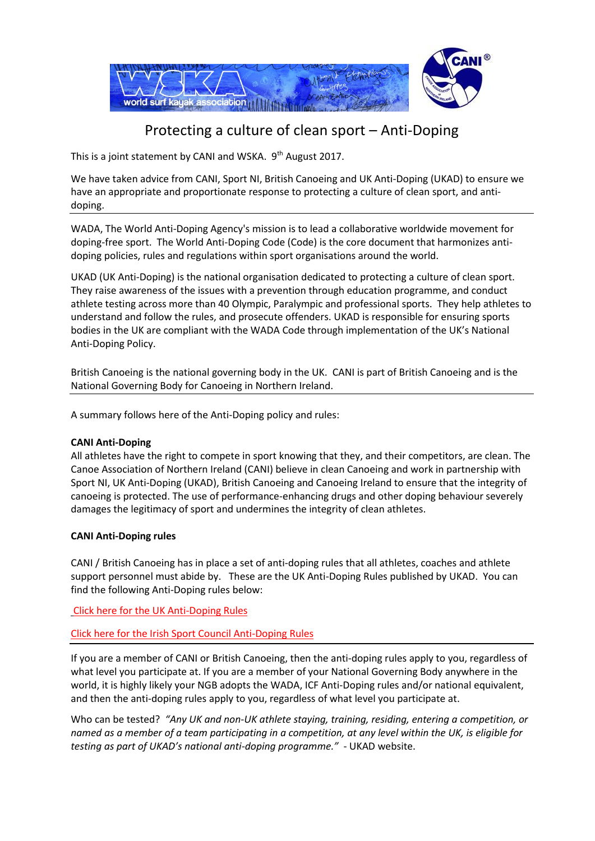

# Protecting a culture of clean sport – Anti-Doping

This is a joint statement by CANI and WSKA. 9<sup>th</sup> August 2017.

We have taken advice from CANI, Sport NI, British Canoeing and UK Anti-Doping (UKAD) to ensure we have an appropriate and proportionate response to protecting a culture of clean sport, and antidoping.

WADA, The World Anti-Doping Agency's mission is to lead a collaborative worldwide movement for doping-free sport. The World Anti-Doping Code (Code) is the core document that harmonizes antidoping policies, rules and regulations within sport organisations around the world.

UKAD (UK Anti-Doping) is the national organisation dedicated to protecting a culture of clean sport. They raise awareness of the issues with a prevention through education programme, and conduct athlete testing across more than 40 Olympic, Paralympic and professional sports. They help athletes to understand and follow the rules, and prosecute offenders. UKAD is responsible for ensuring sports bodies in the UK are compliant with the WADA Code through implementation of the UK's National Anti-Doping Policy.

British Canoeing is the national governing body in the UK. CANI is part of British Canoeing and is the National Governing Body for Canoeing in Northern Ireland.

A summary follows here of the Anti-Doping policy and rules:

## **CANI Anti-Doping**

All athletes have the right to compete in sport knowing that they, and their competitors, are clean. The Canoe Association of Northern Ireland (CANI) believe in clean Canoeing and work in partnership with Sport NI, UK Anti-Doping (UKAD), British Canoeing and Canoeing Ireland to ensure that the integrity of canoeing is protected. The use of performance-enhancing drugs and other doping behaviour severely damages the legitimacy of sport and undermines the integrity of clean athletes.

## **CANI Anti-Doping rules**

CANI / British Canoeing has in place a set of anti-doping rules that all athletes, coaches and athlete support personnel must abide by. These are the UK Anti-Doping Rules published by UKAD. You can find the following Anti-Doping rules below:

[Click here for the UK Anti-Doping Rules](http://www.ukad.org.uk/resources/document/uk-anti-doping-rules)

[Click here for the Irish Sport Council Anti-Doping Rules](http://www.irishsportscouncil.ie/Anti-Doping)

If you are a member of CANI or British Canoeing, then the anti-doping rules apply to you, regardless of what level you participate at. If you are a member of your National Governing Body anywhere in the world, it is highly likely your NGB adopts the WADA, ICF Anti-Doping rules and/or national equivalent, and then the anti-doping rules apply to you, regardless of what level you participate at.

Who can be tested? *"Any UK and non-UK athlete staying, training, residing, entering a competition, or named as a member of a team participating in a competition, at any level within the UK, is eligible for testing as part of UKAD's national anti-doping programme."* - UKAD website.